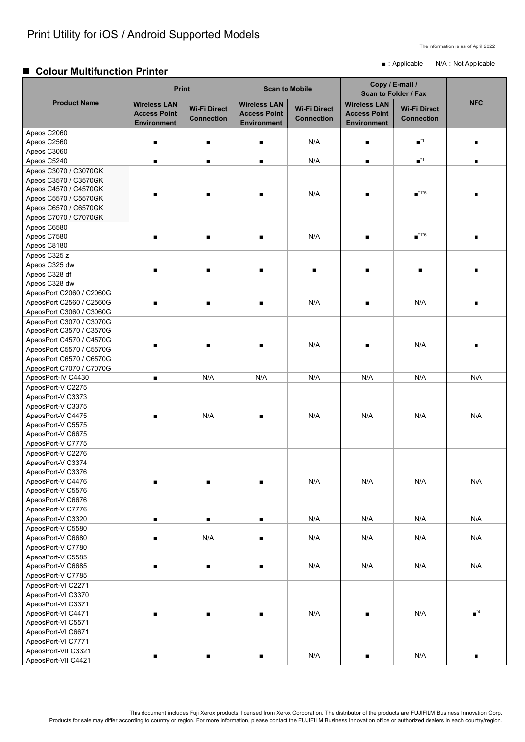This document includes Fuji Xerox products, licensed from Xerox Corporation. The distributor of the products are FUJIFILM Business Innovation Corp. Products for sale may differ according to country or region. For more information, please contact the FUJIFILM Business Innovation office or authorized dealers in each country/region.

The information is as of April 2022

■ : Applicable N/A : Not Applicable

### **Colour Multifunction Printer**

|                                                | <b>Print</b>                                                     |                                          | <b>Scan to Mobile</b>                                            |                                          | Copy / E-mail /<br><b>Scan to Folder / Fax</b>                   |                                          |                              |
|------------------------------------------------|------------------------------------------------------------------|------------------------------------------|------------------------------------------------------------------|------------------------------------------|------------------------------------------------------------------|------------------------------------------|------------------------------|
| <b>Product Name</b>                            | <b>Wireless LAN</b><br><b>Access Point</b><br><b>Environment</b> | <b>Wi-Fi Direct</b><br><b>Connection</b> | <b>Wireless LAN</b><br><b>Access Point</b><br><b>Environment</b> | <b>Wi-Fi Direct</b><br><b>Connection</b> | <b>Wireless LAN</b><br><b>Access Point</b><br><b>Environment</b> | <b>Wi-Fi Direct</b><br><b>Connection</b> | <b>NFC</b>                   |
| Apeos C2060                                    |                                                                  |                                          |                                                                  |                                          |                                                                  |                                          |                              |
| Apeos C2560                                    | $\blacksquare$                                                   | п                                        |                                                                  | N/A                                      |                                                                  | $\blacksquare$ <sup>*1</sup>             |                              |
| Apeos C3060                                    |                                                                  |                                          |                                                                  |                                          |                                                                  |                                          |                              |
| Apeos C5240                                    | $\blacksquare$                                                   | $\blacksquare$                           | $\blacksquare$                                                   | N/A                                      | $\blacksquare$                                                   | $\blacksquare$ <sup>*1</sup>             | п                            |
| Apeos C3070 / C3070GK                          |                                                                  |                                          |                                                                  |                                          |                                                                  |                                          |                              |
| Apeos C3570 / C3570GK                          |                                                                  |                                          |                                                                  |                                          |                                                                  |                                          |                              |
| Apeos C4570 / C4570GK                          | п                                                                |                                          |                                                                  | N/A                                      |                                                                  | $\blacksquare$ <sup>*1*5</sup>           |                              |
| Apeos C5570 / C5570GK                          |                                                                  |                                          |                                                                  |                                          |                                                                  |                                          |                              |
| Apeos C6570 / C6570GK<br>Apeos C7070 / C7070GK |                                                                  |                                          |                                                                  |                                          |                                                                  |                                          |                              |
| Apeos C6580                                    |                                                                  |                                          |                                                                  |                                          |                                                                  |                                          |                              |
| Apeos C7580                                    | $\blacksquare$                                                   | $\blacksquare$                           |                                                                  | N/A                                      |                                                                  | $\blacksquare$ *1*6                      |                              |
| Apeos C8180                                    |                                                                  |                                          |                                                                  |                                          |                                                                  |                                          |                              |
| Apeos C325 z                                   |                                                                  |                                          |                                                                  |                                          |                                                                  |                                          |                              |
| Apeos C325 dw                                  |                                                                  |                                          |                                                                  |                                          |                                                                  |                                          |                              |
| Apeos C328 df                                  |                                                                  |                                          |                                                                  |                                          |                                                                  |                                          |                              |
| Apeos C328 dw                                  |                                                                  |                                          |                                                                  |                                          |                                                                  |                                          |                              |
| ApeosPort C2060 / C2060G                       |                                                                  |                                          |                                                                  |                                          |                                                                  |                                          |                              |
| ApeosPort C2560 / C2560G                       | $\blacksquare$                                                   | $\blacksquare$                           |                                                                  | N/A                                      |                                                                  | N/A                                      |                              |
| ApeosPort C3060 / C3060G                       |                                                                  |                                          |                                                                  |                                          |                                                                  |                                          |                              |
| ApeosPort C3070 / C3070G                       |                                                                  |                                          |                                                                  |                                          |                                                                  |                                          |                              |
| ApeosPort C3570 / C3570G                       |                                                                  |                                          |                                                                  |                                          |                                                                  |                                          |                              |
| ApeosPort C4570 / C4570G                       |                                                                  |                                          |                                                                  | N/A                                      |                                                                  | N/A                                      |                              |
| ApeosPort C5570 / C5570G                       |                                                                  |                                          |                                                                  |                                          |                                                                  |                                          |                              |
| ApeosPort C6570 / C6570G                       |                                                                  |                                          |                                                                  |                                          |                                                                  |                                          |                              |
| ApeosPort C7070 / C7070G                       |                                                                  |                                          |                                                                  |                                          |                                                                  |                                          |                              |
| ApeosPort-IV C4430                             | $\blacksquare$                                                   | N/A                                      | N/A                                                              | N/A                                      | N/A                                                              | N/A                                      | N/A                          |
| ApeosPort-V C2275                              |                                                                  |                                          |                                                                  |                                          |                                                                  |                                          |                              |
| ApeosPort-V C3373                              |                                                                  |                                          |                                                                  |                                          |                                                                  |                                          |                              |
| ApeosPort-V C3375<br>ApeosPort-V C4475         |                                                                  | N/A                                      |                                                                  | N/A                                      | N/A                                                              | N/A                                      | N/A                          |
| ApeosPort-V C5575                              | $\blacksquare$                                                   |                                          |                                                                  |                                          |                                                                  |                                          |                              |
| ApeosPort-V C6675                              |                                                                  |                                          |                                                                  |                                          |                                                                  |                                          |                              |
| ApeosPort-V C7775                              |                                                                  |                                          |                                                                  |                                          |                                                                  |                                          |                              |
| ApeosPort-V C2276                              |                                                                  |                                          |                                                                  |                                          |                                                                  |                                          |                              |
| ApeosPort-V C3374                              |                                                                  |                                          |                                                                  |                                          |                                                                  |                                          |                              |
| ApeosPort-V C3376                              |                                                                  |                                          |                                                                  |                                          |                                                                  |                                          |                              |
| ApeosPort-V C4476                              | $\blacksquare$                                                   | $\blacksquare$                           | $\blacksquare$                                                   | N/A                                      | N/A                                                              | N/A                                      | N/A                          |
| ApeosPort-V C5576                              |                                                                  |                                          |                                                                  |                                          |                                                                  |                                          |                              |
| ApeosPort-V C6676                              |                                                                  |                                          |                                                                  |                                          |                                                                  |                                          |                              |
| ApeosPort-V C7776                              |                                                                  |                                          |                                                                  |                                          |                                                                  |                                          |                              |
| ApeosPort-V C3320                              | $\blacksquare$                                                   | $\blacksquare$                           | $\blacksquare$                                                   | N/A                                      | N/A                                                              | N/A                                      | N/A                          |
| ApeosPort-V C5580                              |                                                                  |                                          |                                                                  |                                          |                                                                  |                                          |                              |
| ApeosPort-V C6680                              | $\blacksquare$                                                   | N/A                                      | $\blacksquare$                                                   | N/A                                      | N/A                                                              | N/A                                      | N/A                          |
| ApeosPort-V C7780<br>ApeosPort-V C5585         |                                                                  |                                          |                                                                  |                                          |                                                                  |                                          |                              |
| ApeosPort-V C6685                              | $\blacksquare$                                                   | $\blacksquare$                           |                                                                  | N/A                                      | N/A                                                              | N/A                                      | N/A                          |
| ApeosPort-V C7785                              |                                                                  |                                          |                                                                  |                                          |                                                                  |                                          |                              |
| ApeosPort-VI C2271                             |                                                                  |                                          |                                                                  |                                          |                                                                  |                                          |                              |
| ApeosPort-VI C3370                             |                                                                  |                                          |                                                                  |                                          |                                                                  |                                          |                              |
| ApeosPort-VI C3371                             |                                                                  |                                          |                                                                  |                                          |                                                                  |                                          |                              |
| ApeosPort-VI C4471                             | $\blacksquare$                                                   | $\blacksquare$                           |                                                                  | N/A                                      |                                                                  | N/A                                      | $\blacksquare$ <sup>*4</sup> |
| ApeosPort-VI C5571                             |                                                                  |                                          |                                                                  |                                          |                                                                  |                                          |                              |
| ApeosPort-VI C6671                             |                                                                  |                                          |                                                                  |                                          |                                                                  |                                          |                              |
| ApeosPort-VI C7771                             |                                                                  |                                          |                                                                  |                                          |                                                                  |                                          |                              |
| ApeosPort-VII C3321                            | $\blacksquare$                                                   | $\blacksquare$                           | $\blacksquare$                                                   | N/A                                      | $\blacksquare$                                                   | N/A                                      | п                            |
| ApeosPort-VII C4421                            |                                                                  |                                          |                                                                  |                                          |                                                                  |                                          |                              |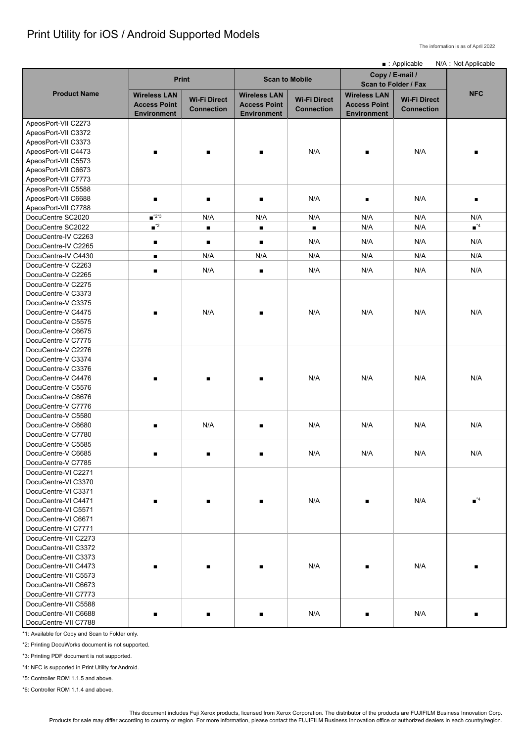# Print Utility for iOS / Android Supported Models

The information is as of April 2022

This document includes Fuji Xerox products, licensed from Xerox Corporation. The distributor of the products are FUJIFILM Business Innovation Corp. Products for sale may differ according to country or region. For more information, please contact the FUJIFILM Business Innovation office or authorized dealers in each country/region.

|                                                                                                                                                                      | ■ : Applicable                                                   |                                          |                                                                  |                                          |                                                                  |                                          | N/A: Not Applicable          |
|----------------------------------------------------------------------------------------------------------------------------------------------------------------------|------------------------------------------------------------------|------------------------------------------|------------------------------------------------------------------|------------------------------------------|------------------------------------------------------------------|------------------------------------------|------------------------------|
|                                                                                                                                                                      | <b>Print</b>                                                     |                                          | <b>Scan to Mobile</b>                                            |                                          | Copy / E-mail /<br><b>Scan to Folder / Fax</b>                   |                                          |                              |
| <b>Product Name</b>                                                                                                                                                  | <b>Wireless LAN</b><br><b>Access Point</b><br><b>Environment</b> | <b>Wi-Fi Direct</b><br><b>Connection</b> | <b>Wireless LAN</b><br><b>Access Point</b><br><b>Environment</b> | <b>Wi-Fi Direct</b><br><b>Connection</b> | <b>Wireless LAN</b><br><b>Access Point</b><br><b>Environment</b> | <b>Wi-Fi Direct</b><br><b>Connection</b> | <b>NFC</b>                   |
| ApeosPort-VII C2273<br>ApeosPort-VII C3372<br>ApeosPort-VII C3373<br>ApeosPort-VII C4473                                                                             | $\blacksquare$                                                   | $\blacksquare$                           |                                                                  | N/A                                      | $\blacksquare$                                                   | N/A                                      |                              |
| ApeosPort-VII C5573<br>ApeosPort-VII C6673<br>ApeosPort-VII C7773<br>ApeosPort-VII C5588                                                                             |                                                                  |                                          |                                                                  |                                          |                                                                  |                                          |                              |
| ApeosPort-VII C6688<br>ApeosPort-VII C7788                                                                                                                           | $\blacksquare$                                                   |                                          |                                                                  | N/A                                      |                                                                  | N/A                                      |                              |
| DocuCentre SC2020                                                                                                                                                    | $\blacksquare$ <sup>*2*3</sup>                                   | N/A                                      | N/A                                                              | N/A                                      | N/A                                                              | N/A                                      | N/A                          |
| DocuCentre SC2022                                                                                                                                                    | $\blacksquare$ <sup>*2</sup>                                     | $\blacksquare$                           | $\blacksquare$                                                   | $\blacksquare$                           | N/A                                                              | N/A                                      | $\blacksquare$ <sup>*4</sup> |
| DocuCentre-IV C2263<br>DocuCentre-IV C2265                                                                                                                           | п                                                                |                                          |                                                                  | N/A                                      | N/A                                                              | N/A                                      | N/A                          |
| DocuCentre-IV C4430                                                                                                                                                  | п                                                                | N/A                                      | N/A                                                              | N/A                                      | N/A                                                              | N/A                                      | N/A                          |
| DocuCentre-V C2263<br>DocuCentre-V C2265                                                                                                                             | $\blacksquare$                                                   | N/A                                      |                                                                  | N/A                                      | N/A                                                              | N/A                                      | N/A                          |
| DocuCentre-V C2275<br>DocuCentre-V C3373                                                                                                                             |                                                                  |                                          |                                                                  |                                          |                                                                  |                                          |                              |
| DocuCentre-V C3375<br>DocuCentre-V C4475<br>DocuCentre-V C5575<br>DocuCentre-V C6675<br>DocuCentre-V C7775                                                           | $\blacksquare$                                                   | N/A                                      |                                                                  | N/A                                      | N/A                                                              | N/A                                      | N/A                          |
| DocuCentre-V C2276<br>DocuCentre-V C3374<br>DocuCentre-V C3376<br>DocuCentre-V C4476<br>DocuCentre-V C5576<br>DocuCentre-V C6676<br>DocuCentre-V C7776               | $\blacksquare$                                                   |                                          |                                                                  | N/A                                      | N/A                                                              | N/A                                      | N/A                          |
| DocuCentre-V C5580<br>DocuCentre-V C6680<br>DocuCentre-V C7780                                                                                                       | $\blacksquare$                                                   | N/A                                      |                                                                  | N/A                                      | N/A                                                              | N/A                                      | N/A                          |
| DocuCentre-V C5585<br>DocuCentre-V C6685<br>DocuCentre-V C7785<br>DocuCentre-VI C2271                                                                                |                                                                  | п                                        |                                                                  | N/A                                      | N/A                                                              | N/A                                      | N/A                          |
| DocuCentre-VI C3370<br>DocuCentre-VI C3371<br>DocuCentre-VI C4471<br>DocuCentre-VI C5571<br>DocuCentre-VI C6671<br>DocuCentre-VI C7771                               |                                                                  |                                          |                                                                  | N/A                                      |                                                                  | N/A                                      | $\blacksquare$ <sup>*4</sup> |
| DocuCentre-VII C2273<br>DocuCentre-VII C3372<br>DocuCentre-VII C3373<br>DocuCentre-VII C4473<br>DocuCentre-VII C5573<br>DocuCentre-VII C6673<br>DocuCentre-VII C7773 |                                                                  |                                          |                                                                  | N/A                                      |                                                                  | N/A                                      |                              |
| DocuCentre-VII C5588<br>DocuCentre-VII C6688<br>DocuCentre-VII C7788                                                                                                 |                                                                  |                                          |                                                                  | N/A                                      |                                                                  | N/A                                      |                              |

\*1: Available for Copy and Scan to Folder only.

\*2: Printing DocuWorks document is not supported.

\*3: Printing PDF document is not supported.

\*4: NFC is supported in Print Utility for Android.

\*5: Controller ROM 1.1.5 and above.

\*6: Controller ROM 1.1.4 and above.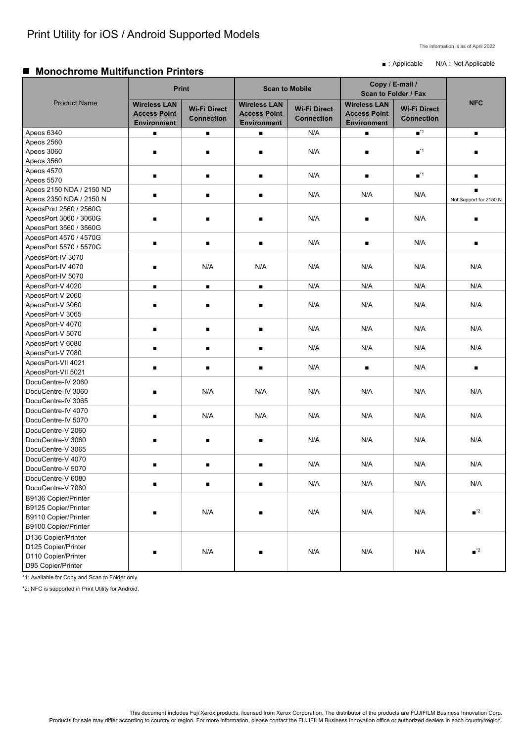The information is as of April 2022

■ : Applicable N/A : Not Applicable

## ■ Monochrome Multifunction Printers

This document includes Fuji Xerox products, licensed from Xerox Corporation. The distributor of the products are FUJIFILM Business Innovation Corp. Products for sale may differ according to country or region. For more information, please contact the FUJIFILM Business Innovation office or authorized dealers in each country/region.

|                             | <b>Print</b>                                                     |                                          | <b>Scan to Mobile</b>                                            |                                          | Copy / E-mail /<br>Scan to Folder / Fax                          |                                          |                              |
|-----------------------------|------------------------------------------------------------------|------------------------------------------|------------------------------------------------------------------|------------------------------------------|------------------------------------------------------------------|------------------------------------------|------------------------------|
| <b>Product Name</b>         | <b>Wireless LAN</b><br><b>Access Point</b><br><b>Environment</b> | <b>Wi-Fi Direct</b><br><b>Connection</b> | <b>Wireless LAN</b><br><b>Access Point</b><br><b>Environment</b> | <b>Wi-Fi Direct</b><br><b>Connection</b> | <b>Wireless LAN</b><br><b>Access Point</b><br><b>Environment</b> | <b>Wi-Fi Direct</b><br><b>Connection</b> | <b>NFC</b>                   |
| Apeos 6340                  |                                                                  | $\blacksquare$                           | $\blacksquare$                                                   | N/A                                      |                                                                  | $\blacksquare$ <sup>*1</sup>             | $\blacksquare$               |
| Apeos 2560                  |                                                                  |                                          |                                                                  |                                          |                                                                  |                                          |                              |
| Apeos 3060                  |                                                                  |                                          | п                                                                | N/A                                      | п                                                                | $\blacksquare$ <sup>*1</sup>             | г                            |
| Apeos 3560                  |                                                                  |                                          |                                                                  |                                          |                                                                  |                                          |                              |
| Apeos 4570                  |                                                                  |                                          |                                                                  |                                          |                                                                  | $\blacksquare$ <sup>*1</sup>             |                              |
| Apeos 5570                  | $\blacksquare$                                                   | $\blacksquare$                           | $\blacksquare$                                                   | N/A                                      | $\blacksquare$                                                   |                                          | $\blacksquare$               |
| Apeos 2150 NDA / 2150 ND    |                                                                  |                                          |                                                                  |                                          |                                                                  |                                          | п                            |
| Apeos 2350 NDA / 2150 N     | п                                                                | $\blacksquare$                           | $\blacksquare$                                                   | N/A                                      | N/A                                                              | N/A                                      | Not Support for 2150 N       |
| ApeosPort 2560 / 2560G      |                                                                  |                                          |                                                                  |                                          |                                                                  |                                          |                              |
| ApeosPort 3060 / 3060G      | п                                                                |                                          |                                                                  | N/A                                      |                                                                  | N/A                                      |                              |
| ApeosPort 3560 / 3560G      |                                                                  |                                          |                                                                  |                                          |                                                                  |                                          |                              |
| ApeosPort 4570 / 4570G      |                                                                  |                                          |                                                                  |                                          |                                                                  |                                          |                              |
| ApeosPort 5570 / 5570G      | $\blacksquare$                                                   | $\blacksquare$                           | $\blacksquare$                                                   | N/A                                      | $\blacksquare$                                                   | N/A                                      | $\blacksquare$               |
| ApeosPort-IV 3070           |                                                                  |                                          |                                                                  |                                          |                                                                  |                                          |                              |
| ApeosPort-IV 4070           | п                                                                | N/A                                      | N/A                                                              | N/A                                      | N/A                                                              | N/A                                      | N/A                          |
| ApeosPort-IV 5070           |                                                                  |                                          |                                                                  |                                          |                                                                  |                                          |                              |
| ApeosPort-V 4020            | $\blacksquare$                                                   | $\blacksquare$                           | $\blacksquare$                                                   | N/A                                      | N/A                                                              | N/A                                      | N/A                          |
| ApeosPort-V 2060            |                                                                  |                                          |                                                                  |                                          |                                                                  |                                          |                              |
| ApeosPort-V 3060            | п                                                                |                                          |                                                                  | N/A                                      | N/A                                                              | N/A                                      | N/A                          |
| ApeosPort-V 3065            |                                                                  |                                          |                                                                  |                                          |                                                                  |                                          |                              |
| ApeosPort-V 4070            |                                                                  |                                          |                                                                  |                                          |                                                                  |                                          |                              |
| ApeosPort-V 5070            | $\blacksquare$                                                   | п                                        | $\blacksquare$                                                   | N/A                                      | N/A                                                              | N/A                                      | N/A                          |
| ApeosPort-V 6080            |                                                                  |                                          |                                                                  |                                          |                                                                  |                                          |                              |
| ApeosPort-V 7080            | $\blacksquare$                                                   |                                          | п                                                                | N/A                                      | N/A                                                              | N/A                                      | N/A                          |
| ApeosPort-VII 4021          |                                                                  |                                          |                                                                  |                                          |                                                                  |                                          |                              |
| ApeosPort-VII 5021          | п                                                                | п                                        | $\blacksquare$                                                   | N/A                                      | $\blacksquare$                                                   | N/A                                      | $\blacksquare$               |
| DocuCentre-IV 2060          |                                                                  |                                          |                                                                  |                                          |                                                                  |                                          |                              |
| DocuCentre-IV 3060          | п                                                                | N/A                                      | N/A                                                              | N/A                                      | N/A                                                              | N/A                                      | N/A                          |
| DocuCentre-IV 3065          |                                                                  |                                          |                                                                  |                                          |                                                                  |                                          |                              |
| DocuCentre-IV 4070          |                                                                  |                                          |                                                                  |                                          |                                                                  |                                          |                              |
| DocuCentre-IV 5070          | $\blacksquare$                                                   | N/A                                      | N/A                                                              | N/A                                      | N/A                                                              | N/A                                      | N/A                          |
| DocuCentre-V 2060           |                                                                  |                                          |                                                                  |                                          |                                                                  |                                          |                              |
| DocuCentre-V 3060           | $\blacksquare$                                                   | п                                        | $\blacksquare$                                                   | N/A                                      | N/A                                                              | N/A                                      | N/A                          |
| DocuCentre-V 3065           |                                                                  |                                          |                                                                  |                                          |                                                                  |                                          |                              |
| DocuCentre-V 4070           |                                                                  |                                          |                                                                  |                                          |                                                                  |                                          |                              |
| DocuCentre-V 5070           | $\blacksquare$                                                   | $\blacksquare$                           | $\blacksquare$                                                   | N/A                                      | N/A                                                              | N/A                                      | N/A                          |
| DocuCentre-V 6080           |                                                                  |                                          |                                                                  |                                          |                                                                  |                                          |                              |
| DocuCentre-V 7080           | п                                                                | п                                        | $\blacksquare$                                                   | N/A                                      | N/A                                                              | N/A                                      | N/A                          |
| <b>B9136 Copier/Printer</b> |                                                                  |                                          |                                                                  |                                          |                                                                  |                                          |                              |
| <b>B9125 Copier/Printer</b> |                                                                  | N/A                                      | $\blacksquare$                                                   | N/A                                      | N/A                                                              | N/A                                      |                              |
| B9110 Copier/Printer        | $\blacksquare$                                                   |                                          |                                                                  |                                          |                                                                  |                                          | $\blacksquare$ <sup>*2</sup> |
| B9100 Copier/Printer        |                                                                  |                                          |                                                                  |                                          |                                                                  |                                          |                              |
| D136 Copier/Printer         |                                                                  |                                          |                                                                  |                                          |                                                                  |                                          |                              |
| D125 Copier/Printer         |                                                                  |                                          |                                                                  |                                          |                                                                  |                                          |                              |
| D110 Copier/Printer         | п                                                                | N/A                                      | $\blacksquare$                                                   | N/A                                      | N/A                                                              | N/A                                      | $\blacksquare$ <sup>*2</sup> |
| D95 Copier/Printer          |                                                                  |                                          |                                                                  |                                          |                                                                  |                                          |                              |
|                             |                                                                  |                                          |                                                                  |                                          |                                                                  |                                          |                              |

\*1: Available for Copy and Scan to Folder only.

\*2: NFC is supported in Print Utility for Android.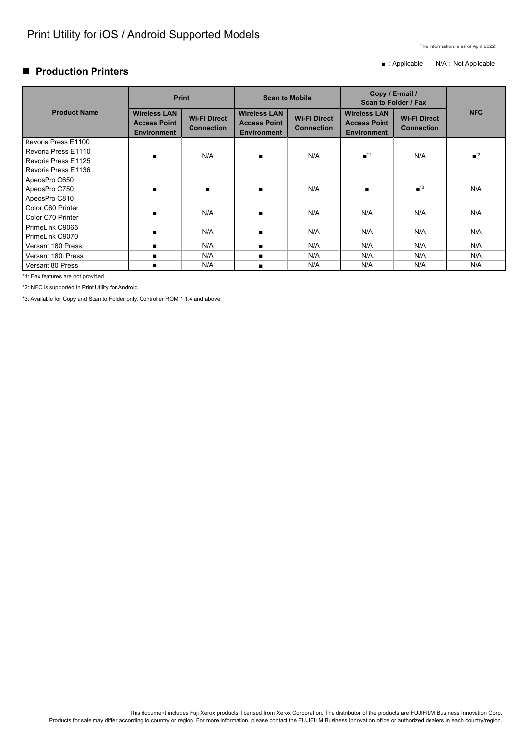This document includes Fuji Xerox products, licensed from Xerox Corporation. The distributor of the products are FUJIFILM Business Innovation Corp. Products for sale may differ according to country or region. For more information, please contact the FUJIFILM Business Innovation office or authorized dealers in each country/region.

### **Production Printers**

■ : Applicable N/A : Not Applicable

|                                                                                          | <b>Print</b>                                                     |                                          | <b>Scan to Mobile</b>                                            |                                          | Copy / E-mail /<br><b>Scan to Folder / Fax</b>                   |                                          |                              |
|------------------------------------------------------------------------------------------|------------------------------------------------------------------|------------------------------------------|------------------------------------------------------------------|------------------------------------------|------------------------------------------------------------------|------------------------------------------|------------------------------|
| <b>Product Name</b>                                                                      | <b>Wireless LAN</b><br><b>Access Point</b><br><b>Environment</b> | <b>Wi-Fi Direct</b><br><b>Connection</b> | <b>Wireless LAN</b><br><b>Access Point</b><br><b>Environment</b> | <b>Wi-Fi Direct</b><br><b>Connection</b> | <b>Wireless LAN</b><br><b>Access Point</b><br><b>Environment</b> | <b>Wi-Fi Direct</b><br><b>Connection</b> | <b>NFC</b>                   |
| Revoria Press E1100<br>Revoria Press E1110<br>Revoria Press E1125<br>Revoria Press E1136 | $\blacksquare$                                                   | N/A                                      | $\blacksquare$                                                   | N/A                                      | $\blacksquare$ <sup>*1</sup>                                     | N/A                                      | $\blacksquare$ <sup>*2</sup> |
| ApeosPro C650<br>ApeosPro C750<br>ApeosPro C810                                          | $\blacksquare$                                                   | $\blacksquare$                           | $\blacksquare$                                                   | N/A                                      | $\blacksquare$                                                   | $\blacksquare$ <sup>*3</sup>             | N/A                          |
| Color C60 Printer<br>Color C70 Printer                                                   | $\blacksquare$                                                   | N/A                                      |                                                                  | N/A                                      | N/A                                                              | N/A                                      | N/A                          |
| PrimeLink C9065<br>PrimeLink C9070                                                       | п                                                                | N/A                                      | $\blacksquare$                                                   | N/A                                      | N/A                                                              | N/A                                      | N/A                          |
| Versant 180 Press                                                                        | $\blacksquare$                                                   | N/A                                      | $\blacksquare$                                                   | N/A                                      | N/A                                                              | N/A                                      | N/A                          |
| Versant 180i Press                                                                       | п                                                                | N/A                                      | $\blacksquare$                                                   | N/A                                      | N/A                                                              | N/A                                      | N/A                          |
| Versant 80 Press                                                                         | $\blacksquare$                                                   | N/A                                      |                                                                  | N/A                                      | N/A                                                              | N/A                                      | N/A                          |
| *1: Fax features are not provided.                                                       |                                                                  |                                          |                                                                  |                                          |                                                                  |                                          |                              |

\*2: NFC is supported in Print Utility for Android.

\*3: Available for Copy and Scan to Folder only. Controller ROM 1.1.4 and above.